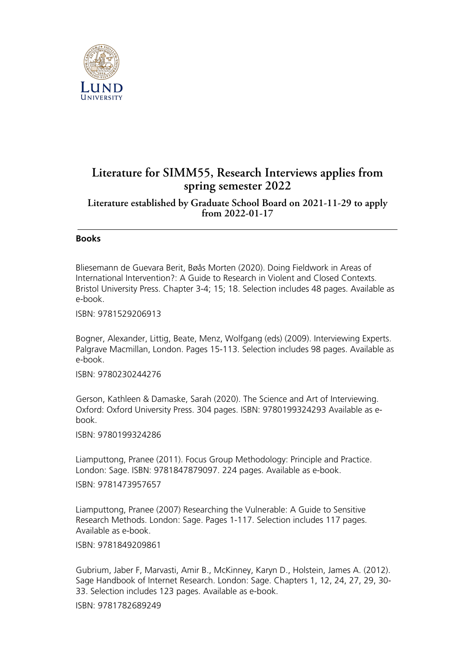

## **Literature for SIMM55, Research Interviews applies from spring semester 2022**

**Literature established by Graduate School Board on 2021-11-29 to apply from 2022-01-17**

## **Books**

Bliesemann de Guevara Berit, Bøås Morten (2020). Doing Fieldwork in Areas of International Intervention?: A Guide to Research in Violent and Closed Contexts. Bristol University Press. Chapter 3-4; 15; 18. Selection includes 48 pages. Available as e-book.

ISBN: 9781529206913

Bogner, Alexander, Littig, Beate, Menz, Wolfgang (eds) (2009). Interviewing Experts. Palgrave Macmillan, London. Pages 15-113. Selection includes 98 pages. Available as e-book.

ISBN: 9780230244276

Gerson, Kathleen & Damaske, Sarah (2020). The Science and Art of Interviewing. Oxford: Oxford University Press. 304 pages. ISBN: 9780199324293 Available as ebook.

ISBN: 9780199324286

Liamputtong, Pranee (2011). Focus Group Methodology: Principle and Practice. London: Sage. ISBN: 9781847879097. 224 pages. Available as e-book.

ISBN: 9781473957657

Liamputtong, Pranee (2007) Researching the Vulnerable: A Guide to Sensitive Research Methods. London: Sage. Pages 1-117. Selection includes 117 pages. Available as e-book.

ISBN: 9781849209861

Gubrium, Jaber F, Marvasti, Amir B., McKinney, Karyn D., Holstein, James A. (2012). Sage Handbook of Internet Research. London: Sage. Chapters 1, 12, 24, 27, 29, 30- 33. Selection includes 123 pages. Available as e-book.

ISBN: 9781782689249